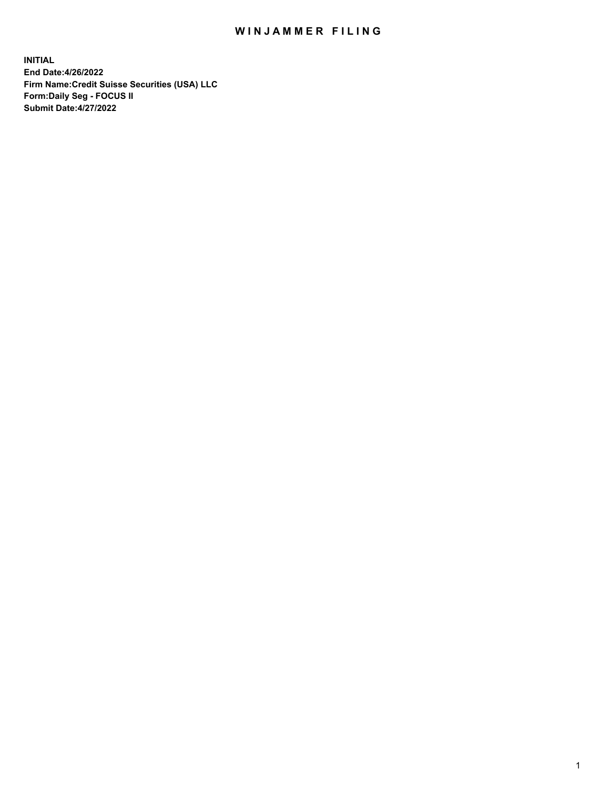## WIN JAMMER FILING

**INITIAL End Date:4/26/2022 Firm Name:Credit Suisse Securities (USA) LLC Form:Daily Seg - FOCUS II Submit Date:4/27/2022**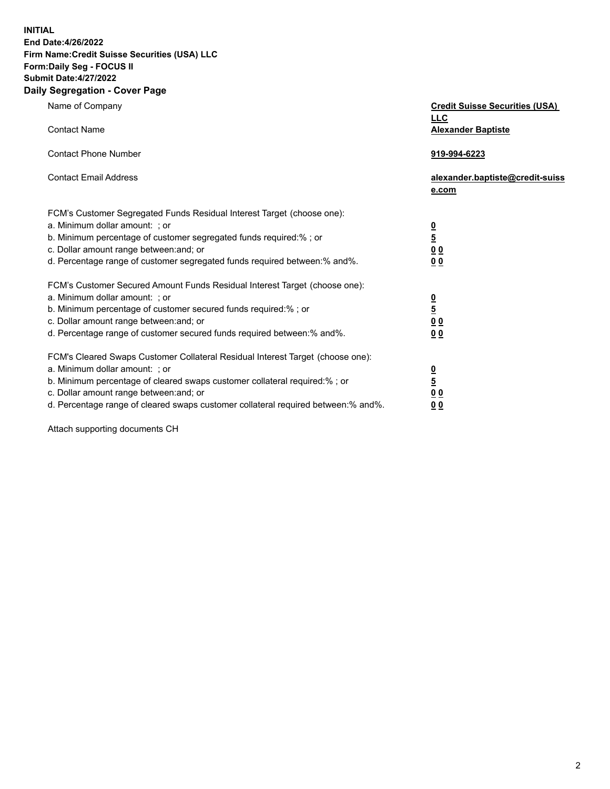**INITIAL**

## **End Date:4/26/2022 Firm Name:Credit Suisse Securities (USA) LLC Form:Daily Seg - FOCUS II Submit Date:4/27/2022**

## **Daily Segregation - Cover Page**

| Name of Company                                                                                                                                                                                                                                                                                                                | <b>Credit Suisse Securities (USA)</b><br><b>LLC</b>              |
|--------------------------------------------------------------------------------------------------------------------------------------------------------------------------------------------------------------------------------------------------------------------------------------------------------------------------------|------------------------------------------------------------------|
| <b>Contact Name</b>                                                                                                                                                                                                                                                                                                            | <b>Alexander Baptiste</b>                                        |
| <b>Contact Phone Number</b>                                                                                                                                                                                                                                                                                                    | 919-994-6223                                                     |
| <b>Contact Email Address</b>                                                                                                                                                                                                                                                                                                   | alexander.baptiste@credit-suiss<br>e.com                         |
| FCM's Customer Segregated Funds Residual Interest Target (choose one):<br>a. Minimum dollar amount: ; or<br>b. Minimum percentage of customer segregated funds required:% ; or<br>c. Dollar amount range between: and; or<br>d. Percentage range of customer segregated funds required between:% and%.                         | $\frac{\frac{0}{5}}{\frac{0}{0}}$<br>0 <sub>0</sub>              |
| FCM's Customer Secured Amount Funds Residual Interest Target (choose one):<br>a. Minimum dollar amount: ; or<br>b. Minimum percentage of customer secured funds required:% ; or<br>c. Dollar amount range between: and; or<br>d. Percentage range of customer secured funds required between:% and%.                           | $\frac{0}{5}$<br>$\underline{0} \underline{0}$<br>0 <sub>0</sub> |
| FCM's Cleared Swaps Customer Collateral Residual Interest Target (choose one):<br>a. Minimum dollar amount: ; or<br>b. Minimum percentage of cleared swaps customer collateral required:% ; or<br>c. Dollar amount range between: and; or<br>d. Percentage range of cleared swaps customer collateral required between:% and%. | $\frac{0}{5}$<br>0 <sub>0</sub><br>0 <sub>0</sub>                |

Attach supporting documents CH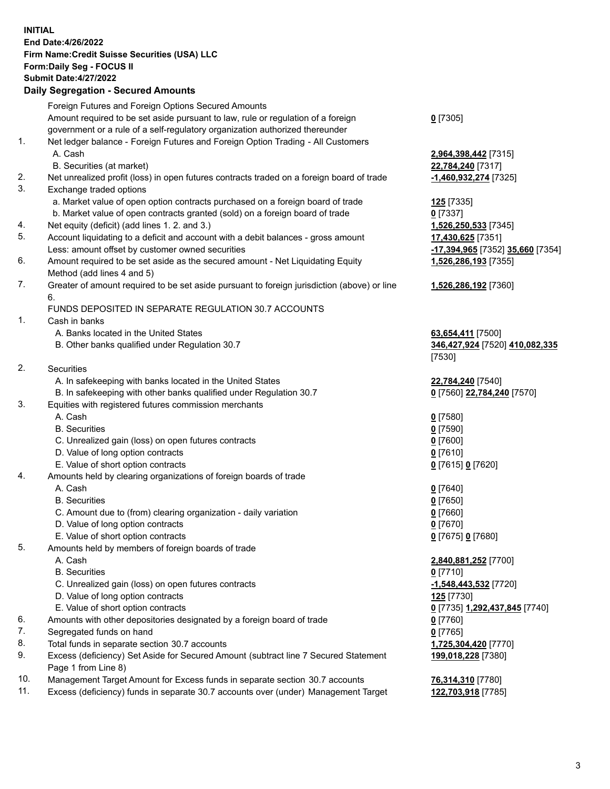**INITIAL End Date:4/26/2022 Firm Name:Credit Suisse Securities (USA) LLC Form:Daily Seg - FOCUS II Submit Date:4/27/2022**

## **Daily Segregation - Secured Amounts**

|     | Foreign Futures and Foreign Options Secured Amounts                                         |                                  |
|-----|---------------------------------------------------------------------------------------------|----------------------------------|
|     | Amount required to be set aside pursuant to law, rule or regulation of a foreign            | $0$ [7305]                       |
|     | government or a rule of a self-regulatory organization authorized thereunder                |                                  |
| 1.  | Net ledger balance - Foreign Futures and Foreign Option Trading - All Customers             |                                  |
|     | A. Cash                                                                                     | 2,964,398,442 [7315]             |
|     | B. Securities (at market)                                                                   | 22,784,240 [7317]                |
| 2.  | Net unrealized profit (loss) in open futures contracts traded on a foreign board of trade   | -1,460,932,274 [7325]            |
| 3.  | Exchange traded options                                                                     |                                  |
|     | a. Market value of open option contracts purchased on a foreign board of trade              | 125 [7335]                       |
|     | b. Market value of open contracts granted (sold) on a foreign board of trade                | $0$ [7337]                       |
| 4.  | Net equity (deficit) (add lines 1. 2. and 3.)                                               | 1,526,250,533 [7345]             |
| 5.  | Account liquidating to a deficit and account with a debit balances - gross amount           | 17,430,625 [7351]                |
|     | Less: amount offset by customer owned securities                                            | -17,394,965 [7352] 35,660 [7354] |
| 6.  | Amount required to be set aside as the secured amount - Net Liquidating Equity              | 1,526,286,193 [7355]             |
|     | Method (add lines 4 and 5)                                                                  |                                  |
| 7.  | Greater of amount required to be set aside pursuant to foreign jurisdiction (above) or line | 1,526,286,192 [7360]             |
|     | 6.                                                                                          |                                  |
|     | FUNDS DEPOSITED IN SEPARATE REGULATION 30.7 ACCOUNTS                                        |                                  |
| 1.  | Cash in banks                                                                               |                                  |
|     | A. Banks located in the United States                                                       | 63,654,411 [7500]                |
|     | B. Other banks qualified under Regulation 30.7                                              | 346,427,924 [7520] 410,082,335   |
|     |                                                                                             | [7530]                           |
| 2.  | Securities                                                                                  |                                  |
|     | A. In safekeeping with banks located in the United States                                   | 22,784,240 [7540]                |
|     | B. In safekeeping with other banks qualified under Regulation 30.7                          | 0 [7560] 22,784,240 [7570]       |
| 3.  | Equities with registered futures commission merchants                                       |                                  |
|     | A. Cash                                                                                     | $0$ [7580]                       |
|     | <b>B.</b> Securities                                                                        | $0$ [7590]                       |
|     | C. Unrealized gain (loss) on open futures contracts                                         | $0$ [7600]                       |
|     | D. Value of long option contracts                                                           | $0$ [7610]                       |
|     | E. Value of short option contracts                                                          |                                  |
| 4.  | Amounts held by clearing organizations of foreign boards of trade                           | 0 [7615] 0 [7620]                |
|     | A. Cash                                                                                     |                                  |
|     | <b>B.</b> Securities                                                                        | $0$ [7640]                       |
|     | C. Amount due to (from) clearing organization - daily variation                             | $0$ [7650]                       |
|     |                                                                                             | $0$ [7660]                       |
|     | D. Value of long option contracts                                                           | $0$ [7670]                       |
| 5.  | E. Value of short option contracts                                                          | 0 [7675] 0 [7680]                |
|     | Amounts held by members of foreign boards of trade                                          |                                  |
|     | A. Cash                                                                                     | 2,840,881,252 [7700]             |
|     | <b>B.</b> Securities                                                                        | $0$ [7710]                       |
|     | C. Unrealized gain (loss) on open futures contracts                                         | -1,548,443,532 [7720]            |
|     | D. Value of long option contracts                                                           | <b>125</b> [7730]                |
|     | E. Value of short option contracts                                                          | 0 [7735] 1,292,437,845 [7740]    |
| 6.  | Amounts with other depositories designated by a foreign board of trade                      | $0$ [7760]                       |
| 7.  | Segregated funds on hand                                                                    | $0$ [7765]                       |
| 8.  | Total funds in separate section 30.7 accounts                                               | 1,725,304,420 [7770]             |
| 9.  | Excess (deficiency) Set Aside for Secured Amount (subtract line 7 Secured Statement         | 199,018,228 [7380]               |
|     | Page 1 from Line 8)                                                                         |                                  |
| 10. | Management Target Amount for Excess funds in separate section 30.7 accounts                 | 76,314,310 [7780]                |

11. Excess (deficiency) funds in separate 30.7 accounts over (under) Management Target **122,703,918** [7785]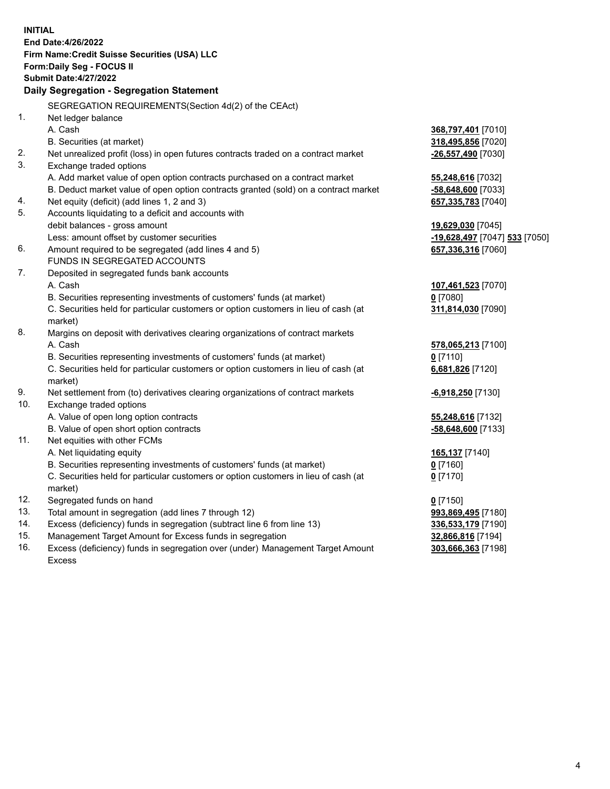|     | <b>INITIAL</b>                                                                      |                                            |
|-----|-------------------------------------------------------------------------------------|--------------------------------------------|
|     | End Date: 4/26/2022                                                                 |                                            |
|     | Firm Name: Credit Suisse Securities (USA) LLC                                       |                                            |
|     | Form: Daily Seg - FOCUS II                                                          |                                            |
|     | <b>Submit Date: 4/27/2022</b>                                                       |                                            |
|     | Daily Segregation - Segregation Statement                                           |                                            |
|     | SEGREGATION REQUIREMENTS(Section 4d(2) of the CEAct)                                |                                            |
| 1.  | Net ledger balance                                                                  |                                            |
|     | A. Cash                                                                             | 368,797,401 [7010]                         |
|     | B. Securities (at market)                                                           | 318,495,856 [7020]                         |
| 2.  | Net unrealized profit (loss) in open futures contracts traded on a contract market  | -26,557,490 [7030]                         |
| 3.  | Exchange traded options                                                             |                                            |
|     | A. Add market value of open option contracts purchased on a contract market         | 55,248,616 [7032]                          |
|     | B. Deduct market value of open option contracts granted (sold) on a contract market | -58,648,600 [7033]                         |
| 4.  | Net equity (deficit) (add lines 1, 2 and 3)                                         | 657,335,783 [7040]                         |
| 5.  | Accounts liquidating to a deficit and accounts with                                 |                                            |
|     | debit balances - gross amount                                                       | 19,629,030 [7045]                          |
|     | Less: amount offset by customer securities                                          | <mark>-19,628,497</mark> [7047] 533 [7050] |
| 6.  | Amount required to be segregated (add lines 4 and 5)                                | 657,336,316 [7060]                         |
|     | FUNDS IN SEGREGATED ACCOUNTS                                                        |                                            |
| 7.  | Deposited in segregated funds bank accounts                                         |                                            |
|     | A. Cash                                                                             | 107,461,523 [7070]                         |
|     | B. Securities representing investments of customers' funds (at market)              | $0$ [7080]                                 |
|     | C. Securities held for particular customers or option customers in lieu of cash (at | 311,814,030 [7090]                         |
|     | market)                                                                             |                                            |
| 8.  | Margins on deposit with derivatives clearing organizations of contract markets      |                                            |
|     | A. Cash                                                                             | 578,065,213 [7100]                         |
|     | B. Securities representing investments of customers' funds (at market)              | $0$ [7110]                                 |
|     | C. Securities held for particular customers or option customers in lieu of cash (at | 6,681,826 [7120]                           |
|     | market)                                                                             |                                            |
| 9.  | Net settlement from (to) derivatives clearing organizations of contract markets     | -6,918,250 [7130]                          |
| 10. | Exchange traded options                                                             |                                            |
|     | A. Value of open long option contracts                                              | 55,248,616 [7132]                          |
|     | B. Value of open short option contracts                                             | -58,648,600 [7133]                         |
| 11. | Net equities with other FCMs                                                        |                                            |
|     | A. Net liquidating equity                                                           | 165,137 [7140]                             |
|     | B. Securities representing investments of customers' funds (at market)              | $0$ [7160]                                 |
|     | C. Securities held for particular customers or option customers in lieu of cash (at | $0$ [7170]                                 |
|     | market)                                                                             |                                            |
| 12. | Segregated funds on hand                                                            | $0$ [7150]                                 |
| 13. | Total amount in segregation (add lines 7 through 12)                                | 993,869,495 [7180]                         |
| 14. | Excess (deficiency) funds in segregation (subtract line 6 from line 13)             | 336,533,179 [7190]                         |
| 15. | Management Target Amount for Excess funds in segregation                            | 32,866,816 [7194]                          |
| 16. | Excess (deficiency) funds in segregation over (under) Management Target Amount      | 303,666,363 [7198]                         |
|     | <b>Excess</b>                                                                       |                                            |